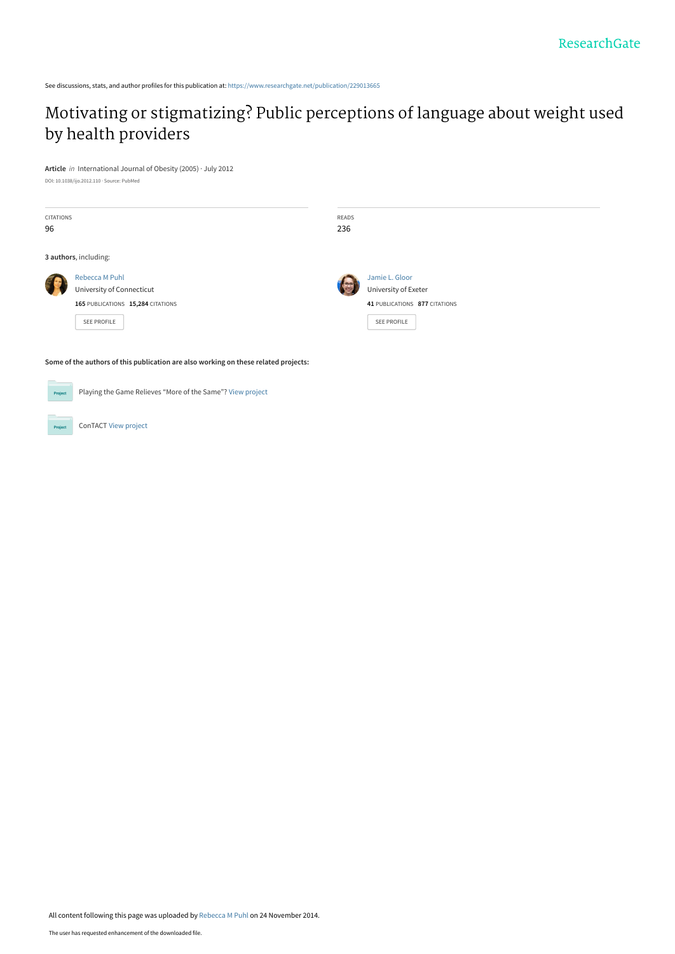See discussions, stats, and author profiles for this publication at: [https://www.researchgate.net/publication/229013665](https://www.researchgate.net/publication/229013665_Motivating_or_stigmatizing_Public_perceptions_of_language_about_weight_used_by_health_providers?enrichId=rgreq-115823401032d45b0ccd0648fad66595-XXX&enrichSource=Y292ZXJQYWdlOzIyOTAxMzY2NTtBUzoxNjcwNDEwMDg5MzkwMDhAMTQxNjgzNzA4ODE1NA%3D%3D&el=1_x_2&_esc=publicationCoverPdf)

# [Motivating or stigmatizing? Public perceptions of language about weight used](https://www.researchgate.net/publication/229013665_Motivating_or_stigmatizing_Public_perceptions_of_language_about_weight_used_by_health_providers?enrichId=rgreq-115823401032d45b0ccd0648fad66595-XXX&enrichSource=Y292ZXJQYWdlOzIyOTAxMzY2NTtBUzoxNjcwNDEwMDg5MzkwMDhAMTQxNjgzNzA4ODE1NA%3D%3D&el=1_x_3&_esc=publicationCoverPdf) by health providers

**Article** in International Journal of Obesity (2005) · July 2012 DOI: 10.1038/ijo.2012.110 · Source: PubMed

| <b>CITATIONS</b><br>96 |                                                                                         | READS<br>236                                                            |
|------------------------|-----------------------------------------------------------------------------------------|-------------------------------------------------------------------------|
|                        | 3 authors, including:                                                                   |                                                                         |
|                        | <b>Rebecca M Puhl</b><br>University of Connecticut<br>165 PUBLICATIONS 15,284 CITATIONS | Jamie L. Gloor<br>University of Exeter<br>41 PUBLICATIONS 877 CITATIONS |
|                        | <b>SEE PROFILE</b>                                                                      | <b>SEE PROFILE</b>                                                      |

**Some of the authors of this publication are also working on these related projects:**



Proj

Playing the Game Relieves "More of the Same"? [View project](https://www.researchgate.net/project/Playing-the-Game-Relieves-More-of-the-Same?enrichId=rgreq-115823401032d45b0ccd0648fad66595-XXX&enrichSource=Y292ZXJQYWdlOzIyOTAxMzY2NTtBUzoxNjcwNDEwMDg5MzkwMDhAMTQxNjgzNzA4ODE1NA%3D%3D&el=1_x_9&_esc=publicationCoverPdf)

ConTACT [View project](https://www.researchgate.net/project/ConTACT?enrichId=rgreq-115823401032d45b0ccd0648fad66595-XXX&enrichSource=Y292ZXJQYWdlOzIyOTAxMzY2NTtBUzoxNjcwNDEwMDg5MzkwMDhAMTQxNjgzNzA4ODE1NA%3D%3D&el=1_x_9&_esc=publicationCoverPdf)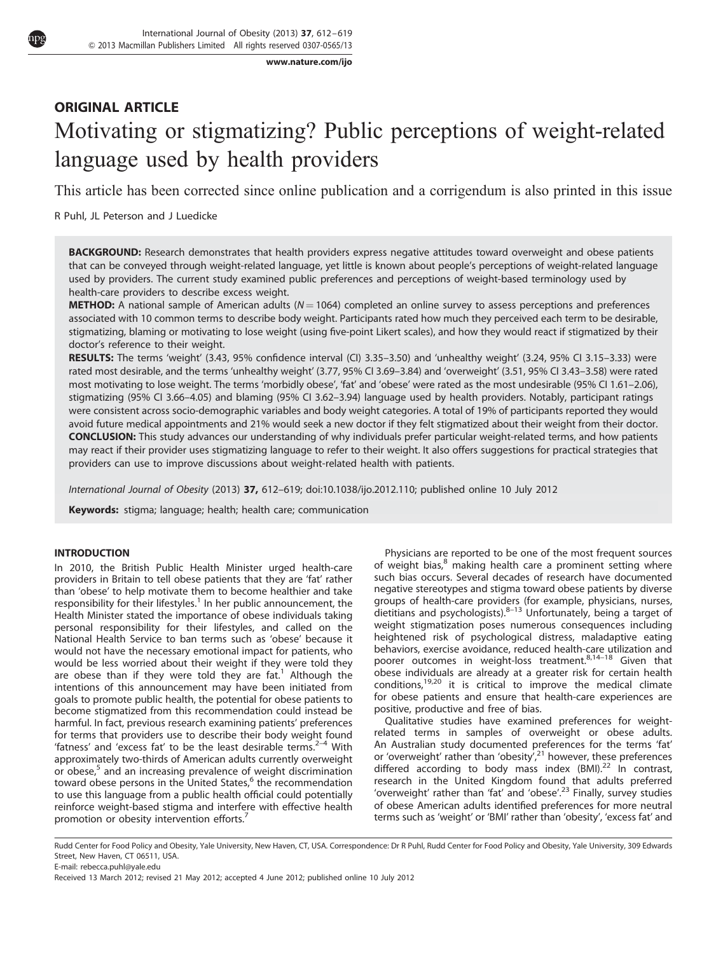[www.nature.com/ijo](http://www.nature.com/IJO)

# ORIGINAL ARTICLE Motivating or stigmatizing? Public perceptions of weight-related language used by health providers

This article has been corrected since online publication and a corrigendum is also printed in this issue

R Puhl, JL Peterson and J Luedicke

BACKGROUND: Research demonstrates that health providers express negative attitudes toward overweight and obese patients that can be conveyed through weight-related language, yet little is known about people's perceptions of weight-related language used by providers. The current study examined public preferences and perceptions of weight-based terminology used by health-care providers to describe excess weight.

**METHOD:** A national sample of American adults ( $N = 1064$ ) completed an online survey to assess perceptions and preferences associated with 10 common terms to describe body weight. Participants rated how much they perceived each term to be desirable, stigmatizing, blaming or motivating to lose weight (using five-point Likert scales), and how they would react if stigmatized by their doctor's reference to their weight.

RESULTS: The terms 'weight' (3.43, 95% confidence interval (CI) 3.35–3.50) and 'unhealthy weight' (3.24, 95% CI 3.15–3.33) were rated most desirable, and the terms 'unhealthy weight' (3.77, 95% CI 3.69–3.84) and 'overweight' (3.51, 95% CI 3.43–3.58) were rated most motivating to lose weight. The terms 'morbidly obese', 'fat' and 'obese' were rated as the most undesirable (95% CI 1.61-2.06), stigmatizing (95% CI 3.66–4.05) and blaming (95% CI 3.62–3.94) language used by health providers. Notably, participant ratings were consistent across socio-demographic variables and body weight categories. A total of 19% of participants reported they would avoid future medical appointments and 21% would seek a new doctor if they felt stigmatized about their weight from their doctor. CONCLUSION: This study advances our understanding of why individuals prefer particular weight-related terms, and how patients may react if their provider uses stigmatizing language to refer to their weight. It also offers suggestions for practical strategies that providers can use to improve discussions about weight-related health with patients.

International Journal of Obesity (2013) 37, 612–619; doi[:10.1038/ijo.2012.110](http://dx.doi.org/10.1038/ijo.2012.110); published online 10 July 2012

Keywords: stigma; language; health; health care; communication

# INTRODUCTION

In 2010, the British Public Health Minister urged health-care providers in Britain to tell obese patients that they are 'fat' rather than 'obese' to help motivate them to become healthier and take responsibility for their lifestyles.<sup>[1](#page-7-0)</sup> In her public announcement, the Health Minister stated the importance of obese individuals taking personal responsibility for their lifestyles, and called on the National Health Service to ban terms such as 'obese' because it would not have the necessary emotional impact for patients, who would be less worried about their weight if they were told they are obese than if they were told they are  $fat<sup>1</sup>$  $fat<sup>1</sup>$  $fat<sup>1</sup>$  Although the intentions of this announcement may have been initiated from goals to promote public health, the potential for obese patients to become stigmatized from this recommendation could instead be harmful. In fact, previous research examining patients' preferences for terms that providers use to describe their body weight found 'fatness' and 'excess fat' to be the least desirable terms. $2-4$  With approximately two-thirds of American adults currently overweight or obese,<sup>[5](#page-7-0)</sup> and an increasing prevalence of weight discrimination toward obese persons in the United States,<sup>[6](#page-7-0)</sup> the recommendation to use this language from a public health official could potentially reinforce weight-based stigma and interfere with effective health promotion or obesity intervention efforts.<sup>[7](#page-7-0)</sup>

Physicians are reported to be one of the most frequent sources of weight bias, $8$  making health care a prominent setting where such bias occurs. Several decades of research have documented negative stereotypes and stigma toward obese patients by diverse groups of health-care providers (for example, physicians, nurses, dietitians and psychologists). $8-13$  Unfortunately, being a target of weight stigmatization poses numerous consequences including heightened risk of psychological distress, maladaptive eating behaviors, exercise avoidance, reduced health-care utilization and poorer outcomes in weight-loss treatment.<sup>8,14-18</sup> Given that obese individuals are already at a greater risk for certain health conditions,[19,20](#page-7-0) it is critical to improve the medical climate for obese patients and ensure that health-care experiences are positive, productive and free of bias.

Qualitative studies have examined preferences for weightrelated terms in samples of overweight or obese adults. An Australian study documented preferences for the terms 'fat'<br>or 'overweight' rather than 'obesity',<sup>[21](#page-7-0)</sup> however, these preferences differed according to body mass index  $(BMI).^{22}$  $(BMI).^{22}$  $(BMI).^{22}$  In contrast, research in the United Kingdom found that adults preferred 'overweight' rather than 'fat' and 'obese'.<sup>[23](#page-7-0)</sup> Finally, survey studies of obese American adults identified preferences for more neutral terms such as 'weight' or 'BMI' rather than 'obesity', 'excess fat' and

Rudd Center for Food Policy and Obesity, Yale University, New Haven, CT, USA. Correspondence: Dr R Puhl, Rudd Center for Food Policy and Obesity, Yale University, 309 Edwards Street, New Haven, CT 06511, USA.

E-mail: [rebecca.puhl@yale.edu](mailto:rebecca.puhl@yale.edu)

Received 13 March 2012; revised 21 May 2012; accepted 4 June 2012; published online 10 July 2012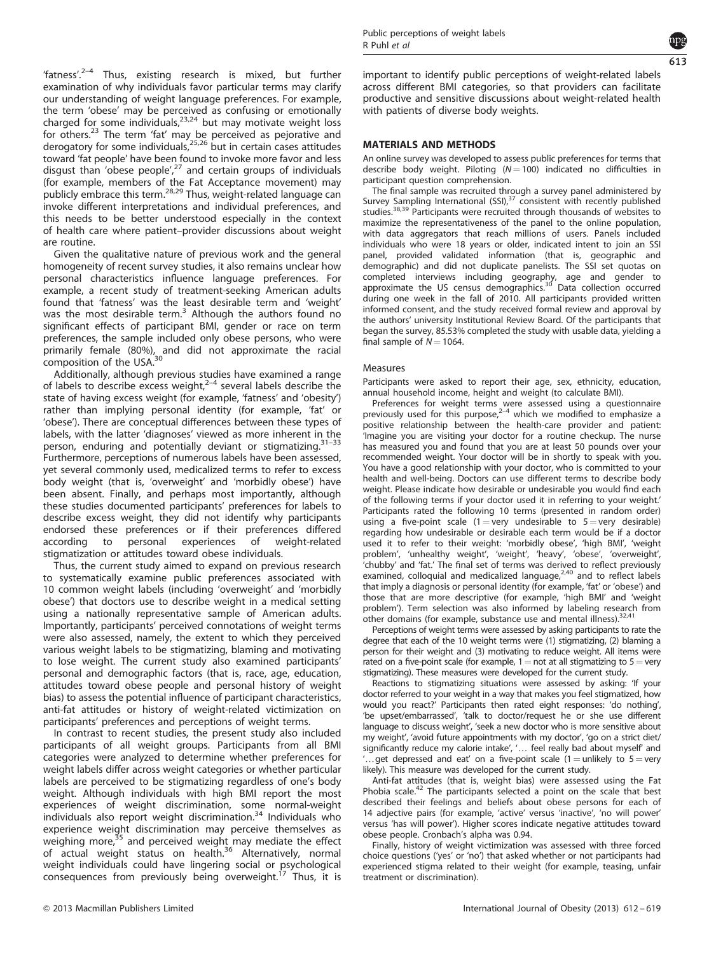'fatness'. $2-4$  Thus, existing research is mixed, but further examination of why individuals favor particular terms may clarify our understanding of weight language preferences. For example, the term 'obese' may be perceived as confusing or emotionally charged for some individuals, $23,24$  but may motivate weight loss for others.<sup>[23](#page-7-0)</sup> The term 'fat' may be perceived as pejorative and derogatory for some individuals,<sup>[25,26](#page-7-0)</sup> but in certain cases attitudes toward 'fat people' have been found to invoke more favor and less disgust than 'obese people', $2^7$  and certain groups of individuals (for example, members of the Fat Acceptance movement) may<br>publicly embrace this term.<sup>[28,29](#page-7-0)</sup> Thus, weight-related language can invoke different interpretations and individual preferences, and this needs to be better understood especially in the context of health care where patient–provider discussions about weight are routine.

Given the qualitative nature of previous work and the general homogeneity of recent survey studies, it also remains unclear how personal characteristics influence language preferences. For example, a recent study of treatment-seeking American adults found that 'fatness' was the least desirable term and 'weight' was the most desirable term.<sup>[3](#page-7-0)</sup> Although the authors found no significant effects of participant BMI, gender or race on term preferences, the sample included only obese persons, who were primarily female (80%), and did not approximate the racial<br>composition of the USA.<sup>[30](#page-7-0)</sup>

Additionally, although previous studies have examined a range of labels to describe excess weight, $2-4$  several labels describe the state of having excess weight (for example, 'fatness' and 'obesity') rather than implying personal identity (for example, 'fat' or 'obese'). There are conceptual differences between these types of labels, with the latter 'diagnoses' viewed as more inherent in the person, enduring and potentially deviant or stigmatizing.<sup>31-33</sup> Furthermore, perceptions of numerous labels have been assessed, yet several commonly used, medicalized terms to refer to excess body weight (that is, 'overweight' and 'morbidly obese') have been absent. Finally, and perhaps most importantly, although these studies documented participants' preferences for labels to describe excess weight, they did not identify why participants endorsed these preferences or if their preferences differed according to personal experiences of weight-related stigmatization or attitudes toward obese individuals.

Thus, the current study aimed to expand on previous research to systematically examine public preferences associated with 10 common weight labels (including 'overweight' and 'morbidly obese') that doctors use to describe weight in a medical setting using a nationally representative sample of American adults. Importantly, participants' perceived connotations of weight terms were also assessed, namely, the extent to which they perceived various weight labels to be stigmatizing, blaming and motivating to lose weight. The current study also examined participants' personal and demographic factors (that is, race, age, education, attitudes toward obese people and personal history of weight bias) to assess the potential influence of participant characteristics, anti-fat attitudes or history of weight-related victimization on participants' preferences and perceptions of weight terms.

In contrast to recent studies, the present study also included participants of all weight groups. Participants from all BMI categories were analyzed to determine whether preferences for weight labels differ across weight categories or whether particular labels are perceived to be stigmatizing regardless of one's body weight. Although individuals with high BMI report the most experiences of weight discrimination, some normal-weight individuals also report weight discrimination.<sup>[34](#page-7-0)</sup> Individuals who experience weight discrimination may perceive themselves as weighing more,<sup>[35](#page-7-0)</sup> and perceived weight may mediate the effect of actual weight status on health.<sup>[36](#page-7-0)</sup> Alternatively, normal weight individuals could have lingering social or psychological consequences from previously being overweight.<sup>17</sup> Thus, it is consequences from previously being overweight.<sup>[17](#page-7-0)</sup>

613

important to identify public perceptions of weight-related labels across different BMI categories, so that providers can facilitate productive and sensitive discussions about weight-related health with patients of diverse body weights.

# MATERIALS AND METHODS

An online survey was developed to assess public preferences for terms that describe body weight. Piloting ( $N = 100$ ) indicated no difficulties in participant question comprehension.

The final sample was recruited through a survey panel administered by Survey Sampling International  $(SSI)<sub>1</sub>$ <sup>37</sup> consistent with recently published studies.<sup>[38,39](#page-7-0)</sup> Participants were recruited through thousands of websites to maximize the representativeness of the panel to the online population, with data aggregators that reach millions of users. Panels included individuals who were 18 years or older, indicated intent to join an SSI panel, provided validated information (that is, geographic and demographic) and did not duplicate panelists. The SSI set quotas on completed interviews including geography, age and gender to approximate the US census demographics[.30](#page-7-0) Data collection occurred during one week in the fall of 2010. All participants provided written informed consent, and the study received formal review and approval by the authors' university Institutional Review Board. Of the participants that began the survey, 85.53% completed the study with usable data, yielding a final sample of  $N = 1064$ .

#### Measures

Participants were asked to report their age, sex, ethnicity, education, annual household income, height and weight (to calculate BMI).

Preferences for weight terms were assessed using a questionnaire previously used for this purpose, $2-4$  which we modified to emphasize a positive relationship between the health-care provider and patient: 'Imagine you are visiting your doctor for a routine checkup. The nurse has measured you and found that you are at least 50 pounds over your recommended weight. Your doctor will be in shortly to speak with you. You have a good relationship with your doctor, who is committed to your health and well-being. Doctors can use different terms to describe body weight. Please indicate how desirable or undesirable you would find each of the following terms if your doctor used it in referring to your weight.' Participants rated the following 10 terms (presented in random order) using a five-point scale (1 = very undesirable to  $5 =$  very desirable) regarding how undesirable or desirable each term would be if a doctor used it to refer to their weight: 'morbidly obese', 'high BMI', 'weight problem', 'unhealthy weight', 'weight', 'heavy', 'obese', 'overweight', 'chubby' and 'fat.' The final set of terms was derived to reflect previously<br>examined, colloquial and medicalized language,<sup>[2,40](#page-7-0)</sup> and to reflect labels that imply a diagnosis or personal identity (for example, 'fat' or 'obese') and those that are more descriptive (for example, 'high BMI' and 'weight problem'). Term selection was also informed by labeling research from other domains (for example, substance use and mental illness).<sup>32,4</sup>

Perceptions of weight terms were assessed by asking participants to rate the degree that each of the 10 weight terms were (1) stigmatizing, (2) blaming a person for their weight and (3) motivating to reduce weight. All items were rated on a five-point scale (for example,  $1 =$  not at all stigmatizing to  $5 =$  very stigmatizing). These measures were developed for the current study.

Reactions to stigmatizing situations were assessed by asking: 'If your doctor referred to your weight in a way that makes you feel stigmatized, how would you react?' Participants then rated eight responses: 'do nothing', 'be upset/embarrassed', 'talk to doctor/request he or she use different language to discuss weight', 'seek a new doctor who is more sensitive about my weight', 'avoid future appointments with my doctor', 'go on a strict diet/ significantly reduce my calorie intake', '... feel really bad about myself' and ..get depressed and eat' on a five-point scale (1 = unlikely to  $5 = \text{very}$ ) likely). This measure was developed for the current study.

Anti-fat attitudes (that is, weight bias) were assessed using the Fat Phobia scale. $42$  The participants selected a point on the scale that best described their feelings and beliefs about obese persons for each of 14 adjective pairs (for example, 'active' versus 'inactive', 'no will power' versus 'has will power'). Higher scores indicate negative attitudes toward obese people. Cronbach's alpha was 0.94.

Finally, history of weight victimization was assessed with three forced choice questions ('yes' or 'no') that asked whether or not participants had experienced stigma related to their weight (for example, teasing, unfair treatment or discrimination).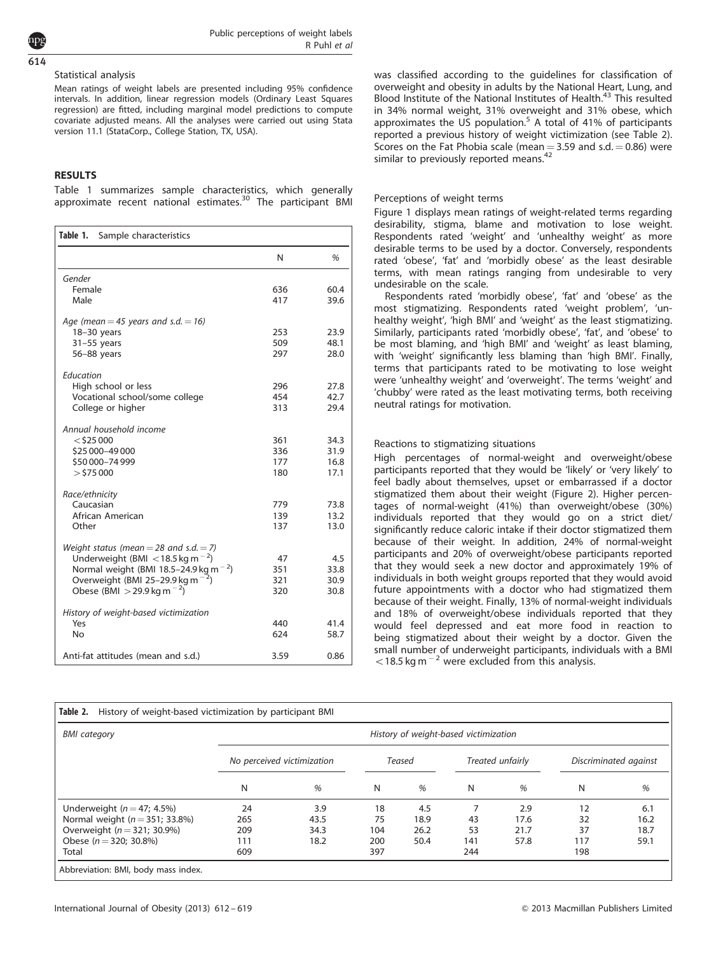# Statistical analysis

614

Mean ratings of weight labels are presented including 95% confidence intervals. In addition, linear regression models (Ordinary Least Squares regression) are fitted, including marginal model predictions to compute covariate adjusted means. All the analyses were carried out using Stata version 11.1 (StataCorp., College Station, TX, USA).

### **RESULTS**

Table 1 summarizes sample characteristics, which generally approximate recent national estimates.<sup>[30](#page-7-0)</sup> The participant BMI

| Table 1.<br>Sample characteristics                                                                                                                                                                                                    |                          |                              |  |  |
|---------------------------------------------------------------------------------------------------------------------------------------------------------------------------------------------------------------------------------------|--------------------------|------------------------------|--|--|
|                                                                                                                                                                                                                                       | N                        | %                            |  |  |
| Gender<br>Female<br>Male                                                                                                                                                                                                              | 636<br>417               | 60.4<br>39.6                 |  |  |
| Age (mean = 45 years and s.d. = 16)<br>18-30 years<br>$31-55$ years<br>56-88 years                                                                                                                                                    | 253<br>509<br>297        | 23.9<br>48.1<br>28.0         |  |  |
| Education<br>High school or less<br>Vocational school/some college<br>College or higher                                                                                                                                               | 296<br>454<br>313        | 27.8<br>42.7<br>29.4         |  |  |
| Annual household income<br>$<$ \$25 000<br>\$25 000-49 000<br>\$50 000-74 999<br>$>$ \$75 000                                                                                                                                         | 361<br>336<br>177<br>180 | 34.3<br>31.9<br>16.8<br>17.1 |  |  |
| Race/ethnicity<br>Caucasian<br>African American<br>Other                                                                                                                                                                              | 779<br>139<br>137        | 73.8<br>13.2<br>13.0         |  |  |
| Weight status (mean = 28 and s.d. $=$ 7)<br>Underweight (BMI $<$ 18.5 kg m <sup>-2</sup> )<br>Normal weight (BMI 18.5-24.9 kg m <sup>-2</sup> )<br>Overweight (BMI 25-29.9 kg m $^{-2}$ )<br>Obese (BMI $>$ 29.9 kg m <sup>-2</sup> ) | 47<br>351<br>321<br>320  | 4.5<br>33.8<br>30.9<br>30.8  |  |  |
| History of weight-based victimization<br>Yes<br>No                                                                                                                                                                                    | 440<br>624               | 41.4<br>58.7                 |  |  |
| Anti-fat attitudes (mean and s.d.)                                                                                                                                                                                                    | 3.59                     | 0.86                         |  |  |

was classified according to the guidelines for classification of overweight and obesity in adults by the National Heart, Lung, and Blood Institute of the National Institutes of Health.<sup>[43](#page-8-0)</sup> This resulted in 34% normal weight, 31% overweight and 31% obese, which approximates the US population.<sup>[5](#page-7-0)</sup> A total of 41% of participants reported a previous history of weight victimization (see Table 2). Scores on the Fat Phobia scale (mean  $=$  3.59 and s.d.  $=$  0.86) were similar to previously reported means.<sup>[42](#page-8-0)</sup>

#### Perceptions of weight terms

[Figure 1](#page-4-0) displays mean ratings of weight-related terms regarding desirability, stigma, blame and motivation to lose weight. Respondents rated 'weight' and 'unhealthy weight' as more desirable terms to be used by a doctor. Conversely, respondents rated 'obese', 'fat' and 'morbidly obese' as the least desirable terms, with mean ratings ranging from undesirable to very undesirable on the scale.

Respondents rated 'morbidly obese', 'fat' and 'obese' as the most stigmatizing. Respondents rated 'weight problem', 'unhealthy weight', 'high BMI' and 'weight' as the least stigmatizing. Similarly, participants rated 'morbidly obese', 'fat', and 'obese' to be most blaming, and 'high BMI' and 'weight' as least blaming, with 'weight' significantly less blaming than 'high BMI'. Finally, terms that participants rated to be motivating to lose weight were 'unhealthy weight' and 'overweight'. The terms 'weight' and 'chubby' were rated as the least motivating terms, both receiving neutral ratings for motivation.

### Reactions to stigmatizing situations

High percentages of normal-weight and overweight/obese participants reported that they would be 'likely' or 'very likely' to feel badly about themselves, upset or embarrassed if a doctor stigmatized them about their weight ([Figure 2\)](#page-5-0). Higher percentages of normal-weight (41%) than overweight/obese (30%) individuals reported that they would go on a strict diet/ significantly reduce caloric intake if their doctor stigmatized them because of their weight. In addition, 24% of normal-weight participants and 20% of overweight/obese participants reported that they would seek a new doctor and approximately 19% of individuals in both weight groups reported that they would avoid future appointments with a doctor who had stigmatized them because of their weight. Finally, 13% of normal-weight individuals and 18% of overweight/obese individuals reported that they would feel depressed and eat more food in reaction to being stigmatized about their weight by a doctor. Given the small number of underweight participants, individuals with a BMI  $<$  18.5 kg m<sup>-2</sup> were excluded from this analysis.

| <b>BMI</b> category                | History of weight-based victimization |      |        |      |                  |      |                       |      |  |
|------------------------------------|---------------------------------------|------|--------|------|------------------|------|-----------------------|------|--|
|                                    | No perceived victimization            |      | Teased |      | Treated unfairly |      | Discriminated against |      |  |
|                                    | N                                     | %    | N      | $\%$ | N                | %    | N                     | %    |  |
| Underweight ( $n = 47$ ; 4.5%)     | 24                                    | 3.9  | 18     | 4.5  |                  | 2.9  | 12                    | 6.1  |  |
| Normal weight ( $n = 351$ ; 33.8%) | 265                                   | 43.5 | 75     | 18.9 | 43               | 17.6 | 32                    | 16.2 |  |
| Overweight ( $n = 321$ ; 30.9%)    | 209                                   | 34.3 | 104    | 26.2 | 53               | 21.7 | 37                    | 18.7 |  |
| Obese $(n = 320: 30.8\%)$          | 111                                   | 18.2 | 200    | 50.4 | 141              | 57.8 | 117                   | 59.1 |  |
| Total                              | 609                                   |      | 397    |      | 244              |      | 198                   |      |  |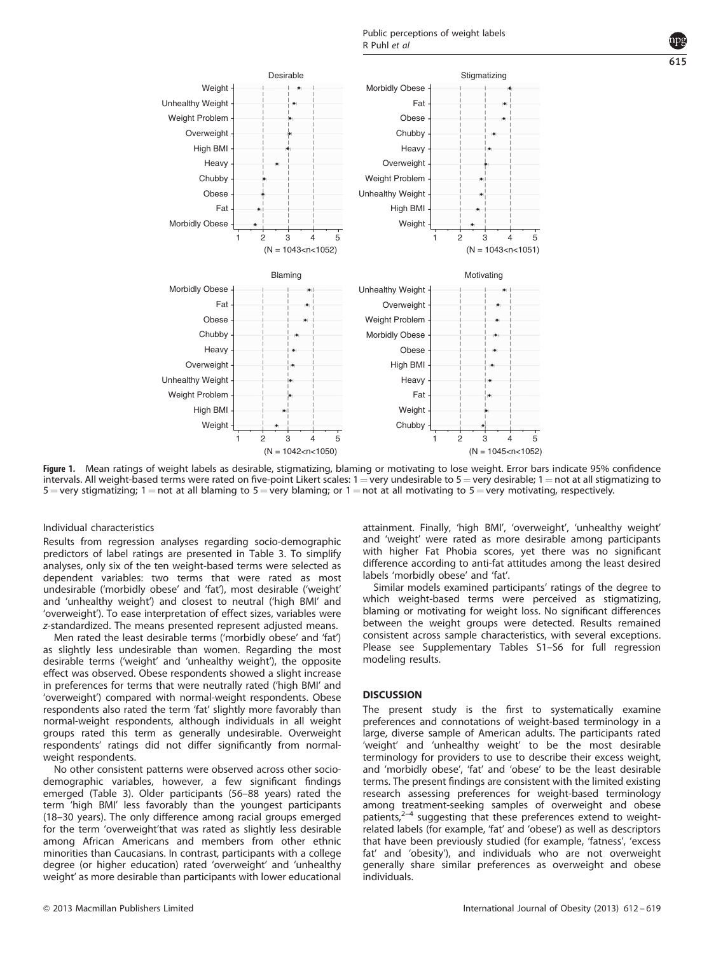<span id="page-4-0"></span>

Figure 1. Mean ratings of weight labels as desirable, stigmatizing, blaming or motivating to lose weight. Error bars indicate 95% confidence intervals. All weight-based terms were rated on five-point Likert scales:  $1 =$  very undesirable to  $5 =$  very desirable;  $1 =$  not at all stigmatizing to  $5 =$  very stigmatizing; 1 = not at all blaming to  $5 =$  very blaming; or 1 = not at all motivating to  $5 =$  very motivating, respectively.

Individual characteristics

Results from regression analyses regarding socio-demographic predictors of label ratings are presented in [Table 3](#page-6-0). To simplify analyses, only six of the ten weight-based terms were selected as dependent variables: two terms that were rated as most undesirable ('morbidly obese' and 'fat'), most desirable ('weight' and 'unhealthy weight') and closest to neutral ('high BMI' and 'overweight'). To ease interpretation of effect sizes, variables were z-standardized. The means presented represent adjusted means.

Men rated the least desirable terms ('morbidly obese' and 'fat') as slightly less undesirable than women. Regarding the most desirable terms ('weight' and 'unhealthy weight'), the opposite effect was observed. Obese respondents showed a slight increase in preferences for terms that were neutrally rated ('high BMI' and 'overweight') compared with normal-weight respondents. Obese respondents also rated the term 'fat' slightly more favorably than normal-weight respondents, although individuals in all weight groups rated this term as generally undesirable. Overweight respondents' ratings did not differ significantly from normalweight respondents.

No other consistent patterns were observed across other sociodemographic variables, however, a few significant findings emerged [\(Table 3\)](#page-6-0). Older participants (56–88 years) rated the term 'high BMI' less favorably than the youngest participants (18–30 years). The only difference among racial groups emerged for the term 'overweight'that was rated as slightly less desirable among African Americans and members from other ethnic minorities than Caucasians. In contrast, participants with a college degree (or higher education) rated 'overweight' and 'unhealthy weight' as more desirable than participants with lower educational attainment. Finally, 'high BMI', 'overweight', 'unhealthy weight' and 'weight' were rated as more desirable among participants with higher Fat Phobia scores, yet there was no significant difference according to anti-fat attitudes among the least desired labels 'morbidly obese' and 'fat'.

Similar models examined participants' ratings of the degree to which weight-based terms were perceived as stigmatizing, blaming or motivating for weight loss. No significant differences between the weight groups were detected. Results remained consistent across sample characteristics, with several exceptions. Please see Supplementary Tables S1–S6 for full regression modeling results.

#### **DISCUSSION**

The present study is the first to systematically examine preferences and connotations of weight-based terminology in a large, diverse sample of American adults. The participants rated 'weight' and 'unhealthy weight' to be the most desirable terminology for providers to use to describe their excess weight, and 'morbidly obese', 'fat' and 'obese' to be the least desirable terms. The present findings are consistent with the limited existing research assessing preferences for weight-based terminology among treatment-seeking samples of overweight and obese patients, $2-4$  suggesting that these preferences extend to weightrelated labels (for example, 'fat' and 'obese') as well as descriptors that have been previously studied (for example, 'fatness', 'excess fat' and 'obesity'), and individuals who are not overweight generally share similar preferences as overweight and obese individuals.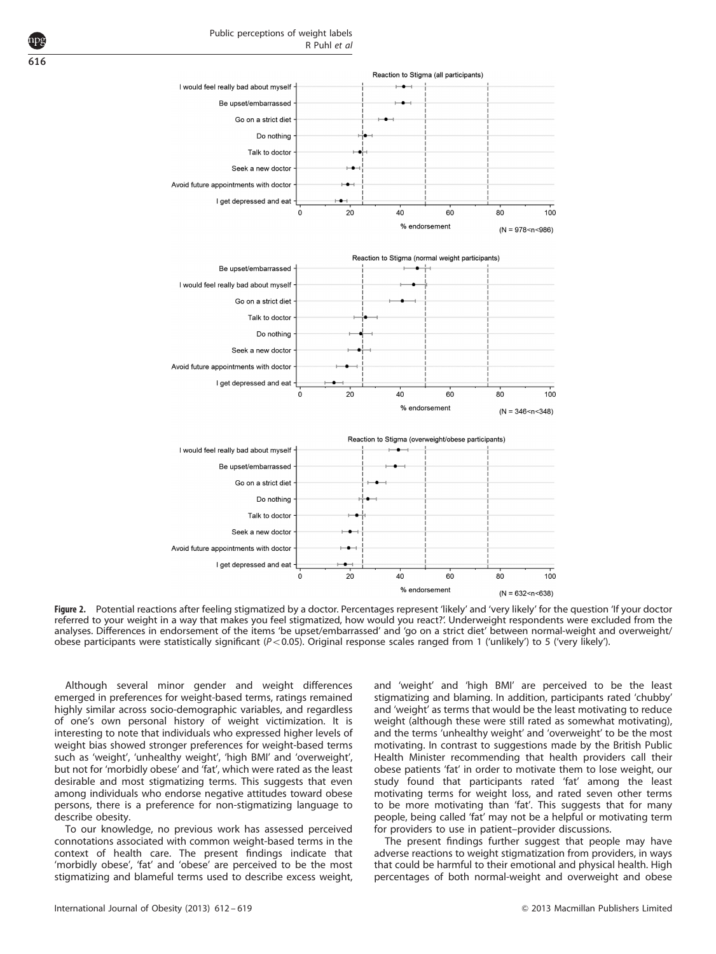<span id="page-5-0"></span>

Figure 2. Potential reactions after feeling stigmatized by a doctor. Percentages represent 'likely' and 'very likely' for the question 'lf your doctor referred to your weight in a way that makes you feel stigmatized, how would you react?'. Underweight respondents were excluded from the analyses. Differences in endorsement of the items 'be upset/embarrassed' and 'go on a strict diet' between normal-weight and overweight/ obese participants were statistically significant ( $P < 0.05$ ). Original response scales ranged from 1 ('unlikely') to 5 ('very likely').

Although several minor gender and weight differences emerged in preferences for weight-based terms, ratings remained highly similar across socio-demographic variables, and regardless of one's own personal history of weight victimization. It is interesting to note that individuals who expressed higher levels of weight bias showed stronger preferences for weight-based terms such as 'weight', 'unhealthy weight', 'high BMI' and 'overweight', but not for 'morbidly obese' and 'fat', which were rated as the least desirable and most stigmatizing terms. This suggests that even among individuals who endorse negative attitudes toward obese persons, there is a preference for non-stigmatizing language to describe obesity.

To our knowledge, no previous work has assessed perceived connotations associated with common weight-based terms in the context of health care. The present findings indicate that 'morbidly obese', 'fat' and 'obese' are perceived to be the most stigmatizing and blameful terms used to describe excess weight,

and 'weight' and 'high BMI' are perceived to be the least stigmatizing and blaming. In addition, participants rated 'chubby' and 'weight' as terms that would be the least motivating to reduce weight (although these were still rated as somewhat motivating), and the terms 'unhealthy weight' and 'overweight' to be the most motivating. In contrast to suggestions made by the British Public Health Minister recommending that health providers call their obese patients 'fat' in order to motivate them to lose weight, our study found that participants rated 'fat' among the least motivating terms for weight loss, and rated seven other terms to be more motivating than 'fat'. This suggests that for many people, being called 'fat' may not be a helpful or motivating term for providers to use in patient–provider discussions.

The present findings further suggest that people may have adverse reactions to weight stigmatization from providers, in ways that could be harmful to their emotional and physical health. High percentages of both normal-weight and overweight and obese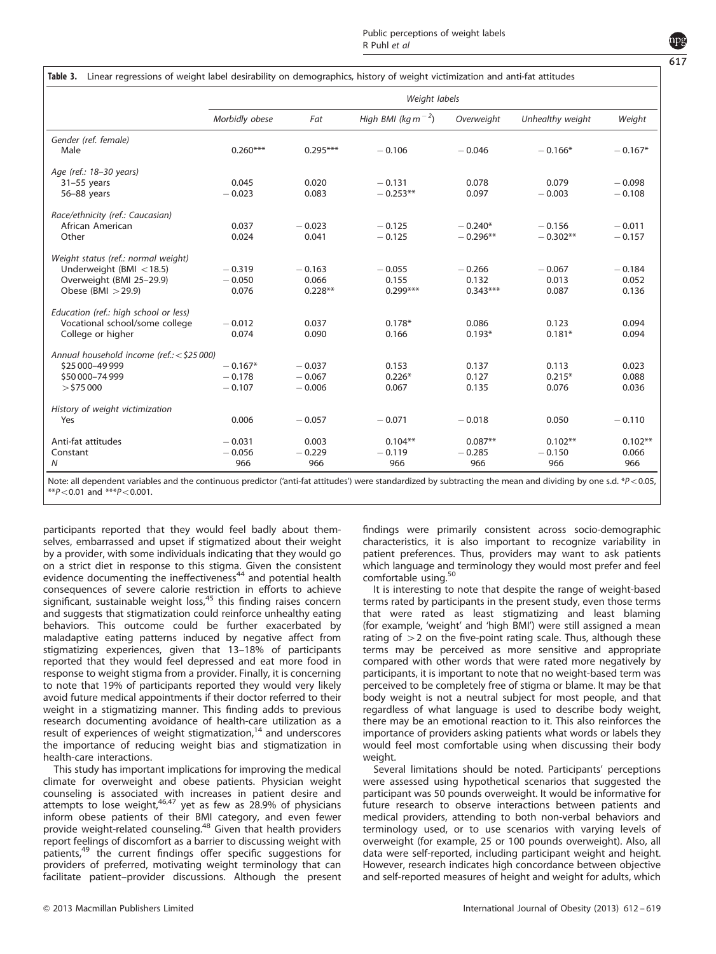# <span id="page-6-0"></span>Table 3. Linear regressions of weight label desirability on demographics, history of weight victimization and anti-fat attitudes

|                                            | Weight labels  |            |                                             |            |                  |            |  |
|--------------------------------------------|----------------|------------|---------------------------------------------|------------|------------------|------------|--|
|                                            | Morbidly obese | Fat        | High BMI (kg m <sup><math>-2</math></sup> ) | Overweight | Unhealthy weight | Weight     |  |
| Gender (ref. female)<br>Male               | $0.260***$     | $0.295***$ | $-0.106$                                    | $-0.046$   | $-0.166*$        | $-0.167*$  |  |
| Age (ref.: 18-30 years)                    |                |            |                                             |            |                  |            |  |
| $31-55$ years                              | 0.045          | 0.020      | $-0.131$                                    | 0.078      | 0.079            | $-0.098$   |  |
| 56-88 years                                | $-0.023$       | 0.083      | $-0.253**$                                  | 0.097      | $-0.003$         | $-0.108$   |  |
| Race/ethnicity (ref.: Caucasian)           |                |            |                                             |            |                  |            |  |
| African American                           | 0.037          | $-0.023$   | $-0.125$                                    | $-0.240*$  | $-0.156$         | $-0.011$   |  |
| Other                                      | 0.024          | 0.041      | $-0.125$                                    | $-0.296**$ | $-0.302**$       | $-0.157$   |  |
| Weight status (ref.: normal weight)        |                |            |                                             |            |                  |            |  |
| Underweight (BMI $<$ 18.5)                 | $-0.319$       | $-0.163$   | $-0.055$                                    | $-0.266$   | $-0.067$         | $-0.184$   |  |
| Overweight (BMI 25-29.9)                   | $-0.050$       | 0.066      | 0.155                                       | 0.132      | 0.013            | 0.052      |  |
| Obese (BMI $>$ 29.9)                       | 0.076          | $0.228**$  | $0.299***$                                  | $0.343***$ | 0.087            | 0.136      |  |
| Education (ref.: high school or less)      |                |            |                                             |            |                  |            |  |
| Vocational school/some college             | $-0.012$       | 0.037      | $0.178*$                                    | 0.086      | 0.123            | 0.094      |  |
| College or higher                          | 0.074          | 0.090      | 0.166                                       | $0.193*$   | $0.181*$         | 0.094      |  |
| Annual household income (ref.: < \$25 000) |                |            |                                             |            |                  |            |  |
| \$25 000-49 999                            | $-0.167*$      | $-0.037$   | 0.153                                       | 0.137      | 0.113            | 0.023      |  |
| \$50 000-74 999                            | $-0.178$       | $-0.067$   | $0.226*$                                    | 0.127      | $0.215*$         | 0.088      |  |
| $>$ \$75 000                               | $-0.107$       | $-0.006$   | 0.067                                       | 0.135      | 0.076            | 0.036      |  |
| History of weight victimization            |                |            |                                             |            |                  |            |  |
| Yes                                        | 0.006          | $-0.057$   | $-0.071$                                    | $-0.018$   | 0.050            | $-0.110$   |  |
| Anti-fat attitudes                         | $-0.031$       | 0.003      | $0.104**$                                   | $0.087**$  | $0.102**$        | $0.102***$ |  |
| Constant                                   | $-0.056$       | $-0.229$   | $-0.119$                                    | $-0.285$   | $-0.150$         | 0.066      |  |
| N                                          | 966            | 966        | 966                                         | 966        | 966              | 966        |  |

Note: all dependent variables and the continuous predictor ('anti-fat attitudes') were standardized by subtracting the mean and dividing by one s.d. \*P<0.05,  $*p$  < 0.01 and  $*p$  < 0.001.

participants reported that they would feel badly about themselves, embarrassed and upset if stigmatized about their weight by a provider, with some individuals indicating that they would go on a strict diet in response to this stigma. Given the consistent evidence documenting the ineffectiveness<sup>[44](#page-8-0)</sup> and potential health consequences of severe calorie restriction in efforts to achieve significant, sustainable weight loss,<sup>[45](#page-8-0)</sup> this finding raises concern and suggests that stigmatization could reinforce unhealthy eating behaviors. This outcome could be further exacerbated by maladaptive eating patterns induced by negative affect from stigmatizing experiences, given that 13–18% of participants reported that they would feel depressed and eat more food in response to weight stigma from a provider. Finally, it is concerning to note that 19% of participants reported they would very likely avoid future medical appointments if their doctor referred to their weight in a stigmatizing manner. This finding adds to previous research documenting avoidance of health-care utilization as a result of experiences of weight stigmatization,<sup>[14](#page-7-0)</sup> and underscores the importance of reducing weight bias and stigmatization in health-care interactions.

This study has important implications for improving the medical climate for overweight and obese patients. Physician weight counseling is associated with increases in patient desire and<br>attempts to lose weight,<sup>[46,47](#page-8-0)</sup> yet as few as 28.9% of physicians inform obese patients of their BMI category, and even fewer provide weight-related counseling.<sup>[48](#page-8-0)</sup> Given that health providers report feelings of discomfort as a barrier to discussing weight with patients,<sup>[49](#page-8-0)</sup> the current findings offer specific suggestions for providers of preferred, motivating weight terminology that can facilitate patient–provider discussions. Although the present findings were primarily consistent across socio-demographic characteristics, it is also important to recognize variability in patient preferences. Thus, providers may want to ask patients which language and terminology they would most prefer and feel comfortable using.<sup>[50](#page-8-0)</sup>

It is interesting to note that despite the range of weight-based terms rated by participants in the present study, even those terms that were rated as least stigmatizing and least blaming (for example, 'weight' and 'high BMI') were still assigned a mean rating of  $>$  2 on the five-point rating scale. Thus, although these terms may be perceived as more sensitive and appropriate compared with other words that were rated more negatively by participants, it is important to note that no weight-based term was perceived to be completely free of stigma or blame. It may be that body weight is not a neutral subject for most people, and that regardless of what language is used to describe body weight, there may be an emotional reaction to it. This also reinforces the importance of providers asking patients what words or labels they would feel most comfortable using when discussing their body weight.

Several limitations should be noted. Participants' perceptions were assessed using hypothetical scenarios that suggested the participant was 50 pounds overweight. It would be informative for future research to observe interactions between patients and medical providers, attending to both non-verbal behaviors and terminology used, or to use scenarios with varying levels of overweight (for example, 25 or 100 pounds overweight). Also, all data were self-reported, including participant weight and height. However, research indicates high concordance between objective and self-reported measures of height and weight for adults, which

617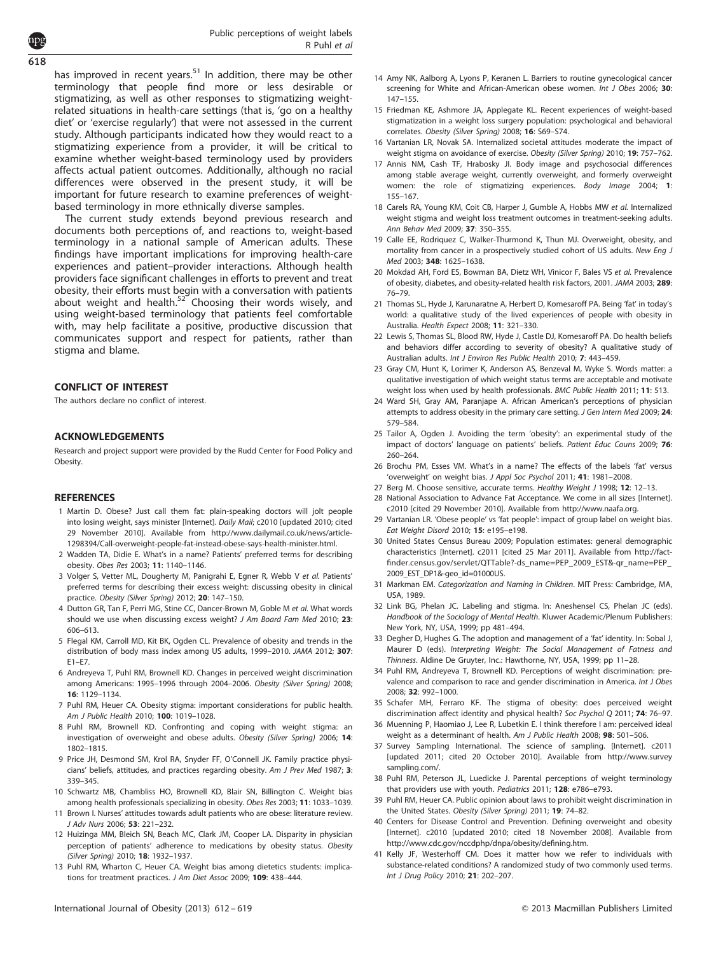<span id="page-7-0"></span>618

has improved in recent years. $51$  In addition, there may be other terminology that people find more or less desirable or stigmatizing, as well as other responses to stigmatizing weightrelated situations in health-care settings (that is, 'go on a healthy diet' or 'exercise regularly') that were not assessed in the current study. Although participants indicated how they would react to a stigmatizing experience from a provider, it will be critical to examine whether weight-based terminology used by providers affects actual patient outcomes. Additionally, although no racial differences were observed in the present study, it will be important for future research to examine preferences of weightbased terminology in more ethnically diverse samples.

The current study extends beyond previous research and documents both perceptions of, and reactions to, weight-based terminology in a national sample of American adults. These findings have important implications for improving health-care experiences and patient–provider interactions. Although health providers face significant challenges in efforts to prevent and treat obesity, their efforts must begin with a conversation with patients about weight and health.<sup>[52](#page-8-0)</sup> Choosing their words wisely, and using weight-based terminology that patients feel comfortable with, may help facilitate a positive, productive discussion that communicates support and respect for patients, rather than stigma and blame.

## CONFLICT OF INTEREST

The authors declare no conflict of interest.

#### ACKNOWLEDGEMENTS

Research and project support were provided by the Rudd Center for Food Policy and Obesity.

#### **REFERENCES**

- 1 Martin D. Obese? Just call them fat: plain-speaking doctors will jolt people into losing weight, says minister [Internet]. Daily Mail; c2010 [updated 2010; cited 29 November 2010]. Available from [http://www.dailymail.co.uk/news/article-](http://www.dailymail.co.uk/news/article-1298394/Call-overweight-people-fat-instead-obese-says-health-minister.html)[1298394/Call-overweight-people-fat-instead-obese-says-health-minister.html](http://www.dailymail.co.uk/news/article-1298394/Call-overweight-people-fat-instead-obese-says-health-minister.html).
- 2 Wadden TA, Didie E. What's in a name? Patients' preferred terms for describing obesity. Obes Res 2003; 11: 1140–1146.
- 3 Volger S, Vetter ML, Dougherty M, Panigrahi E, Egner R, Webb V et al. Patients' preferred terms for describing their excess weight: discussing obesity in clinical practice. Obesity (Silver Spring) 2012; 20: 147–150.
- 4 Dutton GR, Tan F, Perri MG, Stine CC, Dancer-Brown M, Goble M et al. What words should we use when discussing excess weight? J Am Board Fam Med 2010; 23: 606–613.
- 5 Flegal KM, Carroll MD, Kit BK, Ogden CL. Prevalence of obesity and trends in the distribution of body mass index among US adults, 1999–2010. JAMA 2012; 307:  $F1-F7$
- 6 Andreyeva T, Puhl RM, Brownell KD. Changes in perceived weight discrimination among Americans: 1995–1996 through 2004–2006. Obesity (Silver Spring) 2008; 16: 1129–1134.
- 7 Puhl RM, Heuer CA. Obesity stigma: important considerations for public health. Am J Public Health 2010; 100: 1019–1028.
- 8 Puhl RM, Brownell KD. Confronting and coping with weight stigma: an investigation of overweight and obese adults. Obesity (Silver Spring) 2006; 14: 1802–1815.
- 9 Price JH, Desmond SM, Krol RA, Snyder FF, O'Connell JK. Family practice physicians' beliefs, attitudes, and practices regarding obesity. Am J Prev Med 1987; 3: 339–345.
- 10 Schwartz MB, Chambliss HO, Brownell KD, Blair SN, Billington C. Weight bias among health professionals specializing in obesity. Obes Res 2003; 11: 1033–1039.
- 11 Brown I. Nurses' attitudes towards adult patients who are obese: literature review. J Adv Nurs 2006; 53: 221–232.
- 12 Huizinga MM, Bleich SN, Beach MC, Clark JM, Cooper LA. Disparity in physician perception of patients' adherence to medications by obesity status. Obesity (Silver Spring) 2010; 18: 1932–1937.
- 13 Puhl RM, Wharton C, Heuer CA. Weight bias among dietetics students: implications for treatment practices. J Am Diet Assoc 2009; 109: 438–444.
- 14 Amy NK, Aalborg A, Lyons P, Keranen L. Barriers to routine gynecological cancer screening for White and African-American obese women. Int J Obes 2006; 30: 147–155.
- 15 Friedman KE, Ashmore JA, Applegate KL. Recent experiences of weight-based stigmatization in a weight loss surgery population: psychological and behavioral correlates. Obesity (Silver Spring) 2008; 16: S69–S74.
- 16 Vartanian LR, Novak SA. Internalized societal attitudes moderate the impact of weight stigma on avoidance of exercise. Obesity (Silver Spring) 2010; 19: 757–762.
- 17 Annis NM, Cash TF, Hrabosky JI. Body image and psychosocial differences among stable average weight, currently overweight, and formerly overweight women: the role of stigmatizing experiences. Body Image 2004; 1: 155–167.
- 18 Carels RA, Young KM, Coit CB, Harper J, Gumble A, Hobbs MW et al. Internalized weight stigma and weight loss treatment outcomes in treatment-seeking adults. Ann Behav Med 2009; 37: 350–355.
- 19 Calle EE, Rodriquez C, Walker-Thurmond K, Thun MJ. Overweight, obesity, and mortality from cancer in a prospectively studied cohort of US adults. New Eng J Med 2003; 348: 1625–1638.
- 20 Mokdad AH, Ford ES, Bowman BA, Dietz WH, Vinicor F, Bales VS et al. Prevalence of obesity, diabetes, and obesity-related health risk factors, 2001. JAMA 2003; 289: 76–79.
- 21 Thomas SL, Hyde J, Karunaratne A, Herbert D, Komesaroff PA. Being 'fat' in today's world: a qualitative study of the lived experiences of people with obesity in Australia. Health Expect 2008; 11: 321–330.
- 22 Lewis S, Thomas SL, Blood RW, Hyde J, Castle DJ, Komesaroff PA. Do health beliefs and behaviors differ according to severity of obesity? A qualitative study of Australian adults. Int J Environ Res Public Health 2010; 7: 443–459.
- 23 Gray CM, Hunt K, Lorimer K, Anderson AS, Benzeval M, Wyke S. Words matter: a qualitative investigation of which weight status terms are acceptable and motivate weight loss when used by health professionals. BMC Public Health 2011; 11: 513.
- 24 Ward SH, Gray AM, Paranjape A. African American's perceptions of physician attempts to address obesity in the primary care setting. J Gen Intern Med 2009; 24: 579–584.
- 25 Tailor A, Ogden J. Avoiding the term 'obesity': an experimental study of the impact of doctors' language on patients' beliefs. Patient Educ Couns 2009; 76: 260–264.
- 26 Brochu PM, Esses VM. What's in a name? The effects of the labels 'fat' versus 'overweight' on weight bias. J Appl Soc Psychol 2011; 41: 1981-2008
- 27 Berg M. Choose sensitive, accurate terms. Healthy Weight J 1998: 12: 12-13.
- 28 National Association to Advance Fat Acceptance. We come in all sizes [Internet]. c2010 [cited 29 November 2010]. Available from [http://www.naafa.org.](http://www.naafa.org)
- 29 Vartanian LR. 'Obese people' vs 'fat people': impact of group label on weight bias. Eat Weight Disord 2010; 15: e195–e198.
- 30 United States Census Bureau 2009; Population estimates: general demographic characteristics [Internet]. c2011 [cited 25 Mar 2011]. Available from [http://fact](http://factfinder.census.gov/servlet/QTTable?-ds_name=PEP_2009_EST&-qr_name=PEP_2009_EST_DP1&-geo_id=01000US)[finder.census.gov/servlet/QTTable?-ds\\_name=PEP\\_2009\\_EST&-qr\\_name=PEP\\_](http://factfinder.census.gov/servlet/QTTable?-ds_name=PEP_2009_EST&-qr_name=PEP_2009_EST_DP1&-geo_id=01000US) [2009\\_EST\\_DP1&-geo\\_id=01000US.](http://factfinder.census.gov/servlet/QTTable?-ds_name=PEP_2009_EST&-qr_name=PEP_2009_EST_DP1&-geo_id=01000US)
- 31 Markman EM. Categorization and Naming in Children. MIT Press: Cambridge, MA, USA, 1989.
- 32 Link BG, Phelan JC. Labeling and stigma. In: Aneshensel CS, Phelan JC (eds). Handbook of the Sociology of Mental Health. Kluwer Academic/Plenum Publishers: New York, NY, USA, 1999; pp 481–494.
- 33 Degher D, Hughes G. The adoption and management of a 'fat' identity. In: Sobal J, Maurer D (eds). Interpreting Weight: The Social Management of Fatness and Thinness. Aldine De Gruyter, Inc.: Hawthorne, NY, USA, 1999; pp 11–28.
- 34 Puhl RM, Andreyeva T, Brownell KD. Perceptions of weight discrimination: prevalence and comparison to race and gender discrimination in America. Int J Obes 2008; 32: 992–1000.
- 35 Schafer MH, Ferraro KF. The stigma of obesity: does perceived weight discrimination affect identity and physical health? Soc Psychol Q 2011; 74: 76–97.
- 36 Muenning P, Haomiao J, Lee R, Lubetkin E. I think therefore I am: perceived ideal weight as a determinant of health. Am J Public Health 2008; 98: 501-506.
- 37 Survey Sampling International. The science of sampling. [Internet]. c2011 [updated 2011; cited 20 October 2010]. Available from [http://www.survey](http://www.surveysampling.com/) [sampling.com/](http://www.surveysampling.com/).
- 38 Puhl RM, Peterson JL, Luedicke J. Parental perceptions of weight terminology that providers use with youth. Pediatrics 2011; 128: e786–e793.
- 39 Puhl RM, Heuer CA. Public opinion about laws to prohibit weight discrimination in the United States. Obesity (Silver Spring) 2011; 19: 74–82.
- 40 Centers for Disease Control and Prevention. Defining overweight and obesity [Internet]. c2010 [updated 2010; cited 18 November 2008]. Available from <http://www.cdc.gov/nccdphp/dnpa/obesity/defining.htm>.
- 41 Kelly JF, Westerhoff CM. Does it matter how we refer to individuals with substance-related conditions? A randomized study of two commonly used terms. Int J Drug Policy 2010; 21: 202–207.